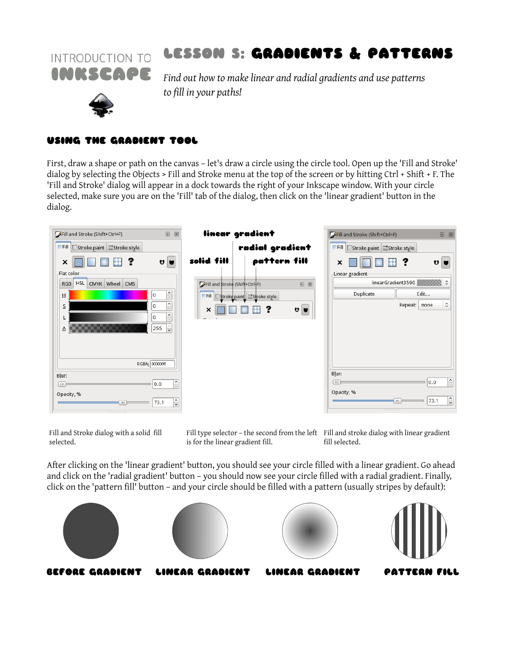

# INTRODUCTION TO LESSON S: GRADIENTS & PATTERNS

 *Find out how to make linear and radial gradients and use patterns to fill in your paths!*

### USING THE GRADIENT TOOL

First, draw a shape or path on the canvas – let's draw a circle using the circle tool. Open up the 'Fill and Stroke' dialog by selecting the Objects > Fill and Stroke menu at the top of the screen or by hitting Ctrl + Shift + F. The 'Fill and Stroke' dialog will appear in a dock towards the right of your Inkscape window. With your circle selected, make sure you are on the 'Fill' tab of the dialog, then click on the 'linear gradient' button in the dialog.



Fill and Stroke dialog with a solid fill selected.

Fill type selector – the second from the left Fill and stroke dialog with linear gradient is for the linear gradient fill.

fill selected.

After clicking on the 'linear gradient' button, you should see your circle filled with a linear gradient. Go ahead and click on the 'radial gradient' button – you should now see your circle filled with a radial gradient. Finally, click on the 'pattern fill' button – and your circle should be filled with a pattern (usually stripes by default):

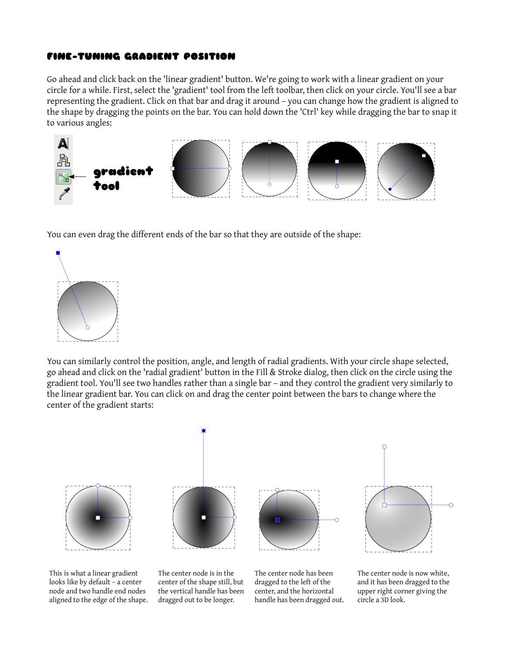### FINE-TUNING GRADIENT POSITION

Go ahead and click back on the 'linear gradient' button. We're going to work with a linear gradient on your circle for a while. First, select the 'gradient' tool from the left toolbar, then click on your circle. You'll see a bar representing the gradient. Click on that bar and drag it around – you can change how the gradient is aligned to the shape by dragging the points on the bar. You can hold down the 'Ctrl' key while dragging the bar to snap it to various angles:



You can even drag the different ends of the bar so that they are outside of the shape:



You can similarly control the position, angle, and length of radial gradients. With your circle shape selected, go ahead and click on the 'radial gradient' button in the Fill & Stroke dialog, then click on the circle using the gradient tool. You'll see two handles rather than a single bar – and they control the gradient very similarly to the linear gradient bar. You can click on and drag the center point between the bars to change where the center of the gradient starts:



This is what a linear gradient looks like by default – a center node and two handle end nodes aligned to the edge of the shape.

The center node is in the center of the shape still, but the vertical handle has been dragged out to be longer.

The center node has been dragged to the left of the center, and the horizontal handle has been dragged out.



The center node is now white, and it has been dragged to the upper right corner giving the circle a 3D look.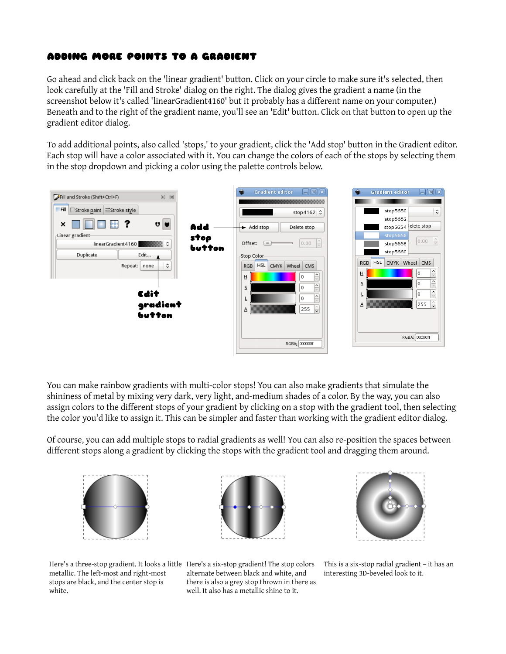## ADDING MORE POINTS TO A GRADIENT

Go ahead and click back on the 'linear gradient' button. Click on your circle to make sure it's selected, then look carefully at the 'Fill and Stroke' dialog on the right. The dialog gives the gradient a name (in the screenshot below it's called 'linearGradient4160' but it probably has a different name on your computer.) Beneath and to the right of the gradient name, you'll see an 'Edit' button. Click on that button to open up the gradient editor dialog.

To add additional points, also called 'stops,' to your gradient, click the 'Add stop' button in the Gradient editor. Each stop will have a color associated with it. You can change the colors of each of the stops by selecting them in the stop dropdown and picking a color using the palette controls below.



You can make rainbow gradients with multi-color stops! You can also make gradients that simulate the shininess of metal by mixing very dark, very light, and-medium shades of a color. By the way, you can also assign colors to the different stops of your gradient by clicking on a stop with the gradient tool, then selecting the color you'd like to assign it. This can be simpler and faster than working with the gradient editor dialog.

Of course, you can add multiple stops to radial gradients as well! You can also re-position the spaces between different stops along a gradient by clicking the stops with the gradient tool and dragging them around.







Here's a three-stop gradient. It looks a little Here's a six-stop gradient! The stop colors metallic. The left-most and right-most stops are black, and the center stop is white.

alternate between black and white, and there is also a grey stop thrown in there as well. It also has a metallic shine to it.

This is a six-stop radial gradient – it has an interesting 3D-beveled look to it.